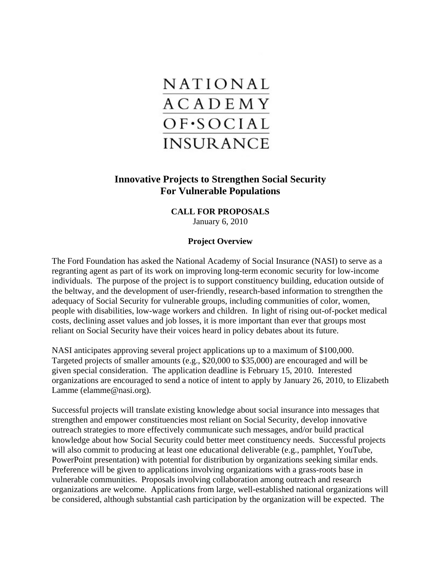

## **Innovative Projects to Strengthen Social Security For Vulnerable Populations**

# **CALL FOR PROPOSALS**

January 6, 2010

#### **Project Overview**

The Ford Foundation has asked the National Academy of Social Insurance (NASI) to serve as a regranting agent as part of its work on improving long-term economic security for low-income individuals. The purpose of the project is to support constituency building, education outside of the beltway, and the development of user-friendly, research-based information to strengthen the adequacy of Social Security for vulnerable groups, including communities of color, women, people with disabilities, low-wage workers and children. In light of rising out-of-pocket medical costs, declining asset values and job losses, it is more important than ever that groups most reliant on Social Security have their voices heard in policy debates about its future.

NASI anticipates approving several project applications up to a maximum of \$100,000. Targeted projects of smaller amounts (e.g., \$20,000 to \$35,000) are encouraged and will be given special consideration. The application deadline is February 15, 2010. Interested organizations are encouraged to send a notice of intent to apply by January 26, 2010, to Elizabeth Lamme (elamme@nasi.org).

Successful projects will translate existing knowledge about social insurance into messages that strengthen and empower constituencies most reliant on Social Security, develop innovative outreach strategies to more effectively communicate such messages, and/or build practical knowledge about how Social Security could better meet constituency needs. Successful projects will also commit to producing at least one educational deliverable (e.g., pamphlet, YouTube, PowerPoint presentation) with potential for distribution by organizations seeking similar ends. Preference will be given to applications involving organizations with a grass-roots base in vulnerable communities. Proposals involving collaboration among outreach and research organizations are welcome. Applications from large, well-established national organizations will be considered, although substantial cash participation by the organization will be expected. The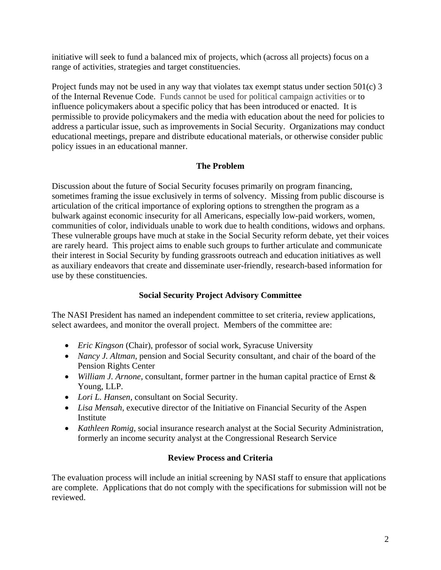initiative will seek to fund a balanced mix of projects, which (across all projects) focus on a range of activities, strategies and target constituencies.

Project funds may not be used in any way that violates tax exempt status under section 501(c) 3 of the Internal Revenue Code. Funds cannot be used for political campaign activities or to influence policymakers about a specific policy that has been introduced or enacted. It is permissible to provide policymakers and the media with education about the need for policies to address a particular issue, such as improvements in Social Security. Organizations may conduct educational meetings, prepare and distribute educational materials, or otherwise consider public policy issues in an educational manner.

## **The Problem**

Discussion about the future of Social Security focuses primarily on program financing, sometimes framing the issue exclusively in terms of solvency. Missing from public discourse is articulation of the critical importance of exploring options to strengthen the program as a bulwark against economic insecurity for all Americans, especially low-paid workers, women, communities of color, individuals unable to work due to health conditions, widows and orphans. These vulnerable groups have much at stake in the Social Security reform debate, yet their voices are rarely heard. This project aims to enable such groups to further articulate and communicate their interest in Social Security by funding grassroots outreach and education initiatives as well as auxiliary endeavors that create and disseminate user-friendly, research-based information for use by these constituencies.

## **Social Security Project Advisory Committee**

The NASI President has named an independent committee to set criteria, review applications, select awardees, and monitor the overall project. Members of the committee are:

- *Eric Kingson* (Chair), professor of social work, Syracuse University
- *Nancy J. Altman*, pension and Social Security consultant, and chair of the board of the Pension Rights Center
- *William J. Arnone*, consultant, former partner in the human capital practice of Ernst & Young, LLP.
- *Lori L. Hansen*, consultant on Social Security.
- *Lisa Mensah*, executive director of the Initiative on Financial Security of the Aspen Institute
- *Kathleen Romig*, social insurance research analyst at the Social Security Administration, formerly an income security analyst at the Congressional Research Service

## **Review Process and Criteria**

The evaluation process will include an initial screening by NASI staff to ensure that applications are complete. Applications that do not comply with the specifications for submission will not be reviewed.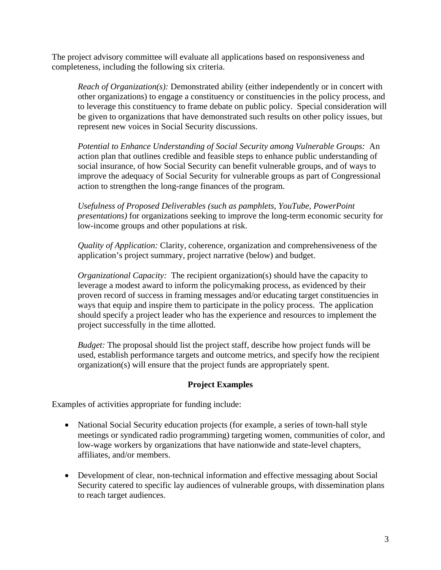The project advisory committee will evaluate all applications based on responsiveness and completeness, including the following six criteria.

*Reach of Organization(s):* Demonstrated ability (either independently or in concert with other organizations) to engage a constituency or constituencies in the policy process, and to leverage this constituency to frame debate on public policy. Special consideration will be given to organizations that have demonstrated such results on other policy issues, but represent new voices in Social Security discussions.

*Potential to Enhance Understanding of Social Security among Vulnerable Groups:*An action plan that outlines credible and feasible steps to enhance public understanding of social insurance, of how Social Security can benefit vulnerable groups, and of ways to improve the adequacy of Social Security for vulnerable groups as part of Congressional action to strengthen the long-range finances of the program.

*Usefulness of Proposed Deliverables (such as pamphlets, YouTube, PowerPoint presentations)* for organizations seeking to improve the long-term economic security for low-income groups and other populations at risk.

*Quality of Application:* Clarity, coherence, organization and comprehensiveness of the application's project summary, project narrative (below) and budget.

*Organizational Capacity:* The recipient organization(s) should have the capacity to leverage a modest award to inform the policymaking process, as evidenced by their proven record of success in framing messages and/or educating target constituencies in ways that equip and inspire them to participate in the policy process. The application should specify a project leader who has the experience and resources to implement the project successfully in the time allotted.

*Budget:* The proposal should list the project staff, describe how project funds will be used, establish performance targets and outcome metrics, and specify how the recipient organization(s) will ensure that the project funds are appropriately spent.

## **Project Examples**

Examples of activities appropriate for funding include:

- National Social Security education projects (for example, a series of town-hall style meetings or syndicated radio programming) targeting women, communities of color, and low-wage workers by organizations that have nationwide and state-level chapters, affiliates, and/or members.
- Development of clear, non-technical information and effective messaging about Social Security catered to specific lay audiences of vulnerable groups, with dissemination plans to reach target audiences.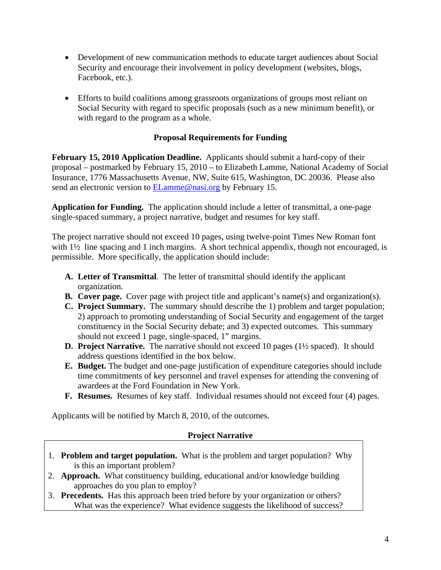- Development of new communication methods to educate target audiences about Social Security and encourage their involvement in policy development (websites, blogs, Facebook, etc.).
- Efforts to build coalitions among grassroots organizations of groups most reliant on Social Security with regard to specific proposals (such as a new minimum benefit), or with regard to the program as a whole.

## **Proposal Requirements for Funding**

**February 15, 2010 Application Deadline.** Applicants should submit a hard-copy of their proposal – postmarked by February 15, 2010 – to Elizabeth Lamme, National Academy of Social Insurance, 1776 Massachusetts Avenue, NW, Suite 615, Washington, DC 20036. Please also send an electronic version to ELamme@nasi.org by February 15.

**Application for Funding.** The application should include a letter of transmittal, a one-page single-spaced summary, a project narrative, budget and resumes for key staff.

The project narrative should not exceed 10 pages, using twelve-point Times New Roman font with  $1\frac{1}{2}$  line spacing and 1 inch margins. A short technical appendix, though not encouraged, is permissible. More specifically, the application should include:

- **A. Letter of Transmittal**. The letter of transmittal should identify the applicant organization.
- **B.** Cover page. Cover page with project title and applicant's name(s) and organization(s).
- **C. Project Summary.** The summary should describe the 1) problem and target population; 2) approach to promoting understanding of Social Security and engagement of the target constituency in the Social Security debate; and 3) expected outcomes. This summary should not exceed 1 page, single-spaced, 1" margins.
- **D. Project Narrative.** The narrative should not exceed 10 pages (1½ spaced). It should address questions identified in the box below.
- **E. Budget.** The budget and one-page justification of expenditure categories should include time commitments of key personnel and travel expenses for attending the convening of awardees at the Ford Foundation in New York.
- **F. Resumes.** Resumes of key staff. Individual resumes should not exceed four (4) pages.

Applicants will be notified by March 8, 2010, of the outcomes.

## **Project Narrative**

- 1. **Problem and target population.** What is the problem and target population? Why is this an important problem?
- 2. **Approach.** What constituency building, educational and/or knowledge building approaches do you plan to employ?
- 3. **Precedents.** Has this approach been tried before by your organization or others? What was the experience? What evidence suggests the likelihood of success?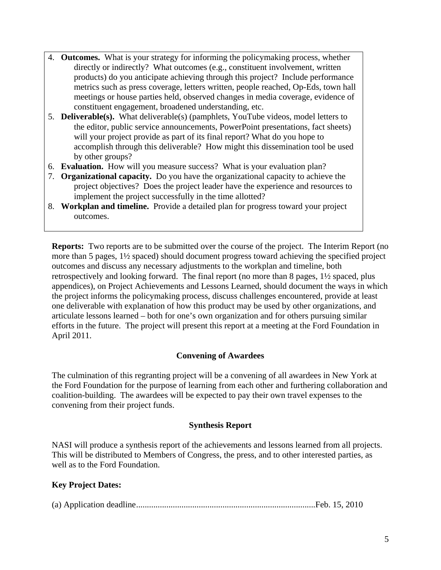- 4. **Outcomes.** What is your strategy for informing the policymaking process, whether directly or indirectly? What outcomes (e.g., constituent involvement, written products) do you anticipate achieving through this project? Include performance metrics such as press coverage, letters written, people reached, Op-Eds, town hall meetings or house parties held, observed changes in media coverage, evidence of constituent engagement, broadened understanding, etc.
- 5. **Deliverable(s).** What deliverable(s) (pamphlets, YouTube videos, model letters to the editor, public service announcements, PowerPoint presentations, fact sheets) will your project provide as part of its final report? What do you hope to accomplish through this deliverable? How might this dissemination tool be used by other groups?
- 6. **Evaluation.** How will you measure success? What is your evaluation plan?
- 7. **Organizational capacity.** Do you have the organizational capacity to achieve the project objectives? Does the project leader have the experience and resources to implement the project successfully in the time allotted?
- 8. **Workplan and timeline.** Provide a detailed plan for progress toward your project outcomes.

**Reports:** Two reports are to be submitted over the course of the project. The Interim Report (no more than 5 pages, 1½ spaced) should document progress toward achieving the specified project outcomes and discuss any necessary adjustments to the workplan and timeline, both retrospectively and looking forward. The final report (no more than 8 pages, 1½ spaced, plus appendices), on Project Achievements and Lessons Learned, should document the ways in which the project informs the policymaking process, discuss challenges encountered, provide at least one deliverable with explanation of how this product may be used by other organizations, and articulate lessons learned – both for one's own organization and for others pursuing similar efforts in the future. The project will present this report at a meeting at the Ford Foundation in April 2011.

## **Convening of Awardees**

The culmination of this regranting project will be a convening of all awardees in New York at the Ford Foundation for the purpose of learning from each other and furthering collaboration and coalition-building. The awardees will be expected to pay their own travel expenses to the convening from their project funds.

#### **Synthesis Report**

NASI will produce a synthesis report of the achievements and lessons learned from all projects. This will be distributed to Members of Congress, the press, and to other interested parties, as well as to the Ford Foundation.

#### **Key Project Dates:**

|--|--|--|--|--|--|--|